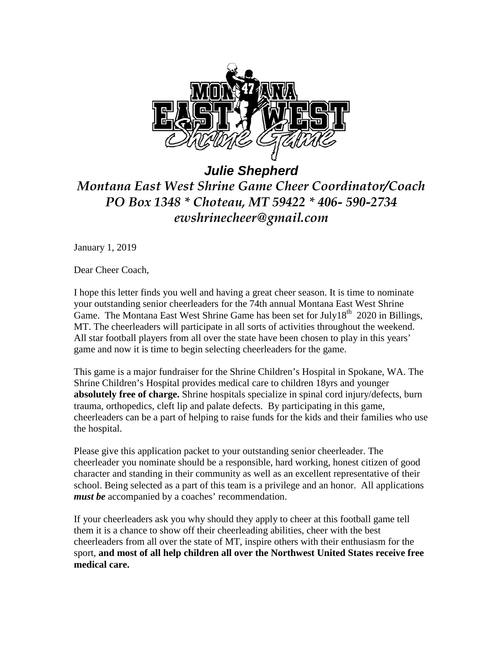

*Julie Shepherd Montana East West Shrine Game Cheer Coordinator/Coach PO Box 1348 \* Choteau, MT 59422 \* 406- 590-2734 ewshrinecheer@gmail.com*

January 1, 2019

Dear Cheer Coach,

I hope this letter finds you well and having a great cheer season. It is time to nominate your outstanding senior cheerleaders for the 74th annual Montana East West Shrine Game. The Montana East West Shrine Game has been set for July18<sup>th</sup> 2020 in Billings, MT. The cheerleaders will participate in all sorts of activities throughout the weekend. All star football players from all over the state have been chosen to play in this years' game and now it is time to begin selecting cheerleaders for the game.

This game is a major fundraiser for the Shrine Children's Hospital in Spokane, WA. The Shrine Children's Hospital provides medical care to children 18yrs and younger **absolutely free of charge.** Shrine hospitals specialize in spinal cord injury/defects, burn trauma, orthopedics, cleft lip and palate defects. By participating in this game, cheerleaders can be a part of helping to raise funds for the kids and their families who use the hospital.

Please give this application packet to your outstanding senior cheerleader. The cheerleader you nominate should be a responsible, hard working, honest citizen of good character and standing in their community as well as an excellent representative of their school. Being selected as a part of this team is a privilege and an honor. All applications *must be* accompanied by a coaches' recommendation.

If your cheerleaders ask you why should they apply to cheer at this football game tell them it is a chance to show off their cheerleading abilities, cheer with the best cheerleaders from all over the state of MT, inspire others with their enthusiasm for the sport, **and most of all help children all over the Northwest United States receive free medical care.**